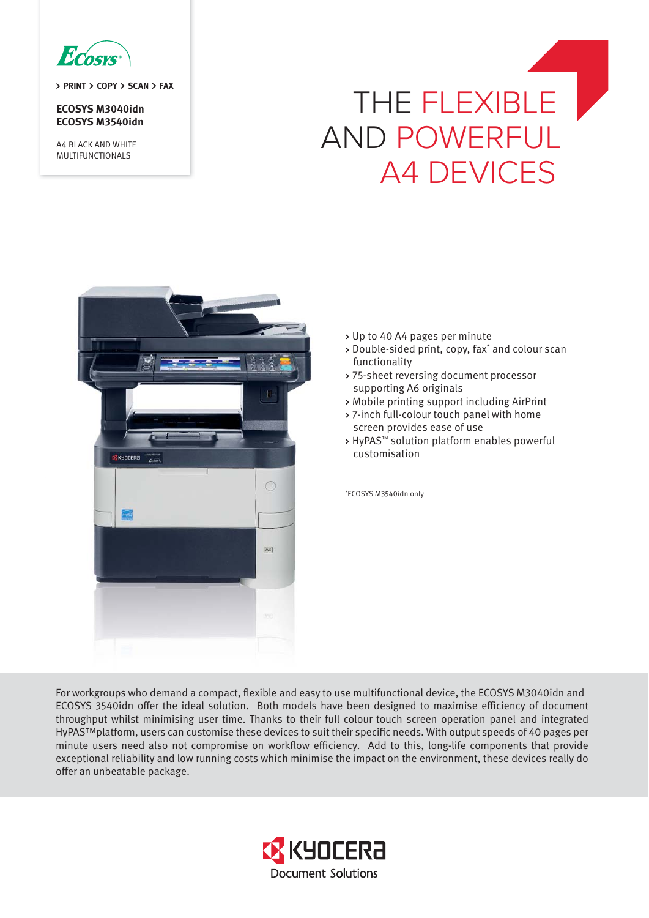

**PRINT COPY SCAN FAX** 

**ECOSYS M3040idn ECOSYS M3540idn** 

A4 BLACK AND WHITE MULTIFUNCTIONALS

# THE FLEXIBLE AND POWERFUL A4 DEVICES



- Up to 40 A4 pages per minute
- Double-sided print, copy, fax\* and colour scan functionality
- 75-sheet reversing document processor supporting A6 originals
- Mobile printing support including AirPrint
- 7-inch full-colour touch panel with home screen provides ease of use
- > HyPAS™ solution platform enables powerful customisation

\* ECOSYS M3540idn only

For workgroups who demand a compact, flexible and easy to use multifunctional device, the ECOSYS M3040idn and ECOSYS 3540idn offer the ideal solution. Both models have been designed to maximise efficiency of document throughput whilst minimising user time. Thanks to their full colour touch screen operation panel and integrated HyPAS™platform, users can customise these devices to suit their specific needs. With output speeds of 40 pages per minute users need also not compromise on workflow efficiency. Add to this, long-life components that provide exceptional reliability and low running costs which minimise the impact on the environment, these devices really do offer an unbeatable package.